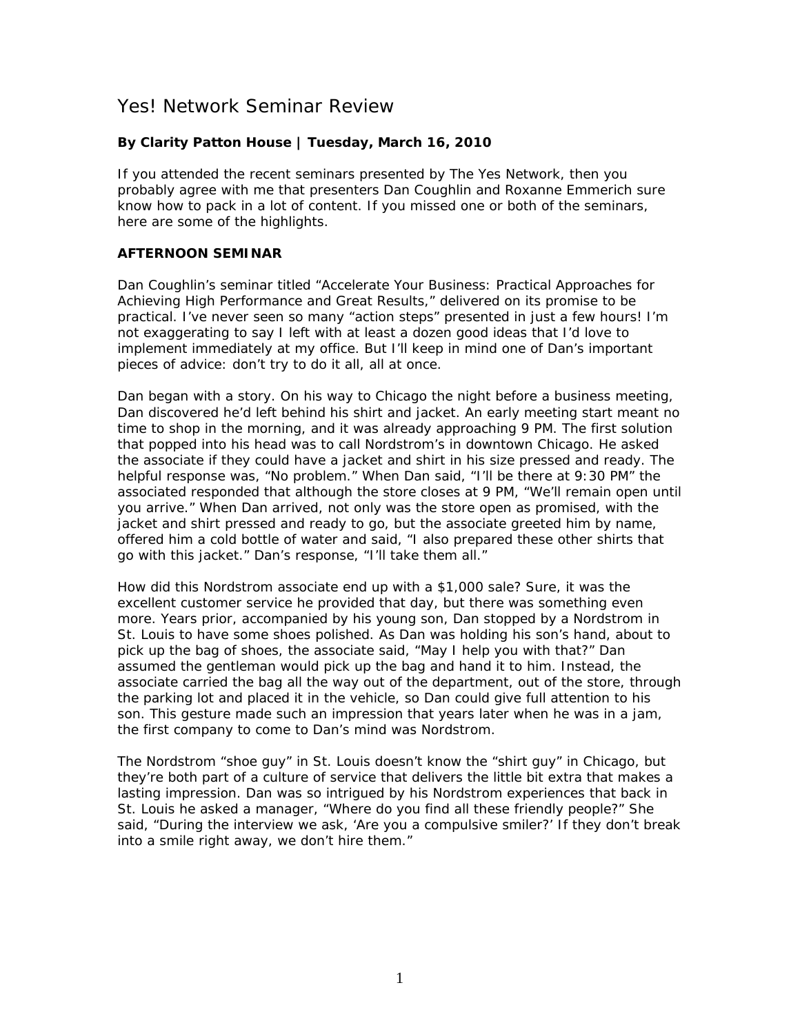# Yes! Network Seminar Review

# **By Clarity Patton House | Tuesday, March 16, 2010**

If you attended the recent seminars presented by The Yes Network, then you probably agree with me that presenters Dan Coughlin and Roxanne Emmerich sure know how to pack in a lot of content. If you missed one or both of the seminars, here are some of the highlights.

# **AFTERNOON SEMINAR**

Dan Coughlin's seminar titled "Accelerate Your Business: Practical Approaches for Achieving High Performance and Great Results," delivered on its promise to be practical. I've never seen so many "action steps" presented in just a few hours! I'm not exaggerating to say I left with at least a dozen good ideas that I'd love to implement immediately at my office. But I'll keep in mind one of Dan's important pieces of advice: don't try to do it all, all at once.

Dan began with a story. On his way to Chicago the night before a business meeting, Dan discovered he'd left behind his shirt and jacket. An early meeting start meant no time to shop in the morning, and it was already approaching 9 PM. The first solution that popped into his head was to call Nordstrom's in downtown Chicago. He asked the associate if they could have a jacket and shirt in his size pressed and ready. The helpful response was, "No problem." When Dan said, "I'll be there at 9:30 PM" the associated responded that although the store closes at 9 PM, "We'll remain open until you arrive." When Dan arrived, not only was the store open as promised, with the jacket and shirt pressed and ready to go, but the associate greeted him by name, offered him a cold bottle of water and said, "I also prepared these other shirts that go with this jacket." Dan's response, "I'll take them all."

How did this Nordstrom associate end up with a \$1,000 sale? Sure, it was the excellent customer service he provided that day, but there was something even more. Years prior, accompanied by his young son, Dan stopped by a Nordstrom in St. Louis to have some shoes polished. As Dan was holding his son's hand, about to pick up the bag of shoes, the associate said, "May I help you with that?" Dan assumed the gentleman would pick up the bag and hand it to him. Instead, the associate carried the bag all the way out of the department, out of the store, through the parking lot and placed it in the vehicle, so Dan could give full attention to his son. This gesture made such an impression that years later when he was in a jam, the first company to come to Dan's mind was Nordstrom.

The Nordstrom "shoe guy" in St. Louis doesn't know the "shirt guy" in Chicago, but they're both part of a culture of service that delivers the little bit extra that makes a lasting impression. Dan was so intrigued by his Nordstrom experiences that back in St. Louis he asked a manager, "Where do you find all these friendly people?" She said, "During the interview we ask, 'Are you a compulsive smiler?' If they don't break into a smile right away, we don't hire them."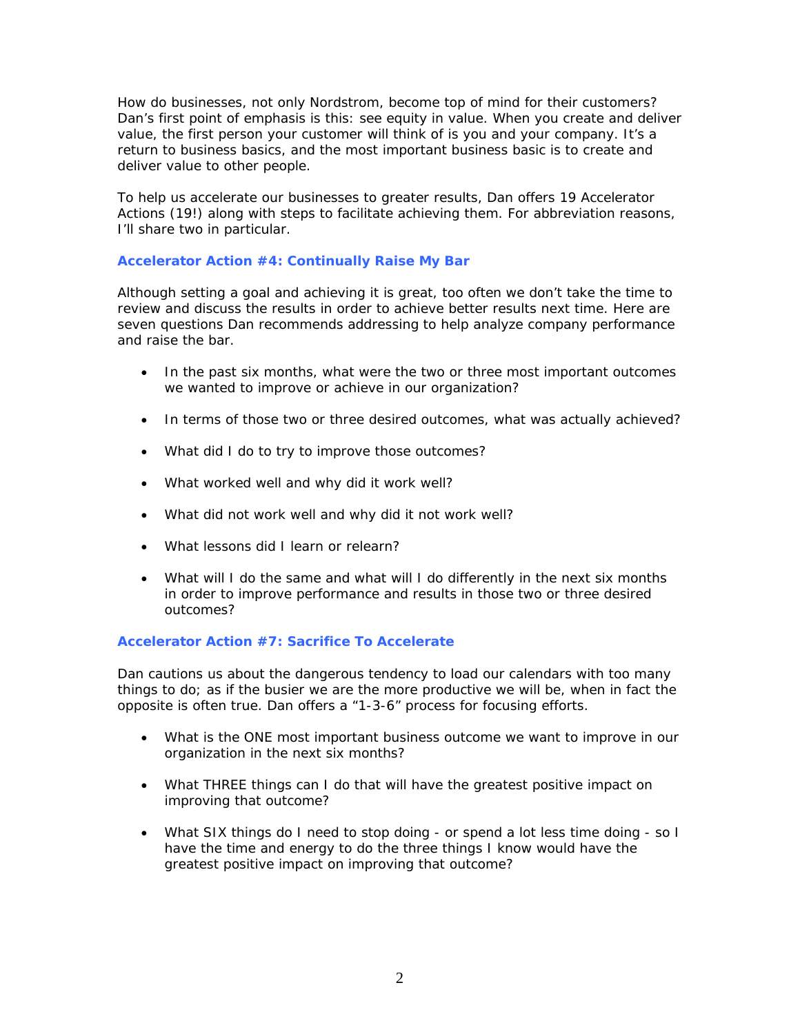How do businesses, not only Nordstrom, become top of mind for their customers? Dan's first point of emphasis is this: see equity in value. When you create and deliver value, the first person your customer will think of is you and your company. It's a return to business basics, and the most important business basic is to create and deliver value to other people.

To help us accelerate our businesses to greater results, Dan offers 19 Accelerator Actions (19!) along with steps to facilitate achieving them. For abbreviation reasons, I'll share two in particular.

## **Accelerator Action #4: Continually Raise My Bar**

Although setting a goal and achieving it is great, too often we don't take the time to review and discuss the results in order to achieve better results next time. Here are seven questions Dan recommends addressing to help analyze company performance and raise the bar.

- In the past six months, what were the two or three most important outcomes we wanted to improve or achieve in our organization?
- In terms of those two or three desired outcomes, what was actually achieved?
- What did I do to try to improve those outcomes?
- What worked well and why did it work well?
- What did not work well and why did it not work well?
- What lessons did I learn or relearn?
- What will I do the same and what will I do differently in the next six months in order to improve performance and results in those two or three desired outcomes?

#### **Accelerator Action #7: Sacrifice To Accelerate**

Dan cautions us about the dangerous tendency to load our calendars with too many things to do; as if the busier we are the more productive we will be, when in fact the opposite is often true. Dan offers a "1-3-6" process for focusing efforts.

- What is the ONE most important business outcome we want to improve in our organization in the next six months?
- What THREE things can I do that will have the greatest positive impact on improving that outcome?
- What SIX things do I need to stop doing or spend a lot less time doing so I have the time and energy to do the three things I know would have the greatest positive impact on improving that outcome?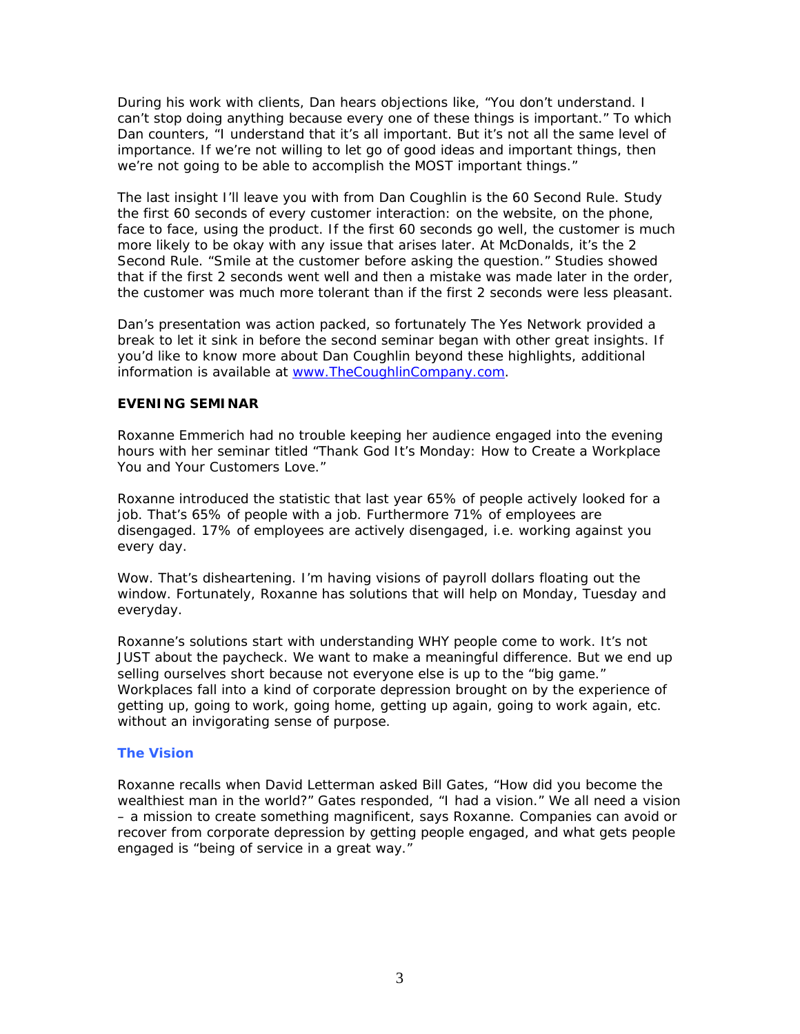During his work with clients, Dan hears objections like, "You don't understand. I can't stop doing anything because every one of these things is important." To which Dan counters, "I understand that it's all important. But it's not all the same level of importance. If we're not willing to let go of good ideas and important things, then we're not going to be able to accomplish the MOST important things."

The last insight I'll leave you with from Dan Coughlin is the 60 Second Rule. Study the first 60 seconds of every customer interaction: on the website, on the phone, face to face, using the product. If the first 60 seconds go well, the customer is much more likely to be okay with any issue that arises later. At McDonalds, it's the 2 Second Rule. "Smile at the customer before asking the question." Studies showed that if the first 2 seconds went well and then a mistake was made later in the order, the customer was much more tolerant than if the first 2 seconds were less pleasant.

Dan's presentation was action packed, so fortunately The Yes Network provided a break to let it sink in before the second seminar began with other great insights. If you'd like to know more about Dan Coughlin beyond these highlights, additional information is available at [www.TheCoughlinCompany.com.](http://www.thecoughlincompany.com/)

## **EVENING SEMINAR**

Roxanne Emmerich had no trouble keeping her audience engaged into the evening hours with her seminar titled "Thank God It's Monday: How to Create a Workplace You and Your Customers Love."

Roxanne introduced the statistic that last year 65% of people actively looked for a job. That's 65% of people with a job. Furthermore 71% of employees are disengaged. 17% of employees are actively disengaged, i.e. working against you every day.

Wow. That's disheartening. I'm having visions of payroll dollars floating out the window. Fortunately, Roxanne has solutions that will help on Monday, Tuesday and everyday.

Roxanne's solutions start with understanding WHY people come to work. It's not JUST about the paycheck. We want to make a meaningful difference. But we end up selling ourselves short because not everyone else is up to the "big game." Workplaces fall into a kind of corporate depression brought on by the experience of getting up, going to work, going home, getting up again, going to work again, etc. without an invigorating sense of purpose.

## **The Vision**

Roxanne recalls when David Letterman asked Bill Gates, "How did you become the wealthiest man in the world?" Gates responded, "I had a vision." We all need a vision – a mission to create something magnificent, says Roxanne. Companies can avoid or recover from corporate depression by getting people engaged, and what gets people engaged is "being of service in a great way."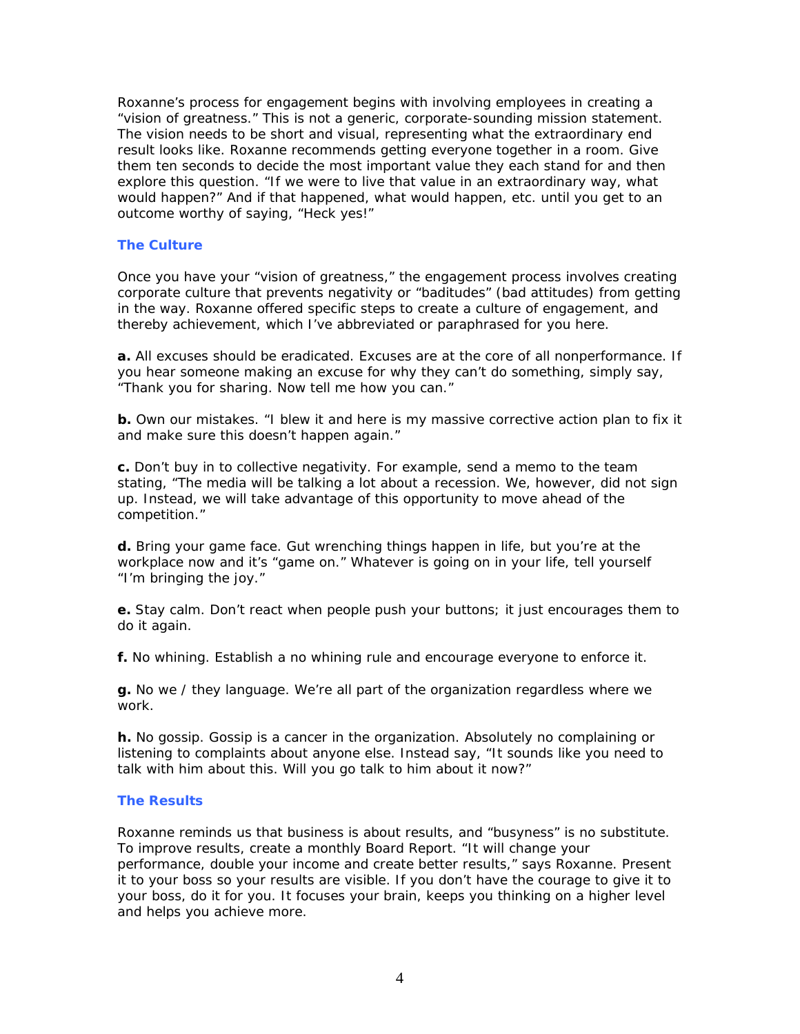Roxanne's process for engagement begins with involving employees in creating a "vision of greatness." This is not a generic, corporate-sounding mission statement. The vision needs to be short and visual, representing what the extraordinary end result looks like. Roxanne recommends getting everyone together in a room. Give them ten seconds to decide the most important value they each stand for and then explore this question. "If we were to live that value in an extraordinary way, what would happen?" And if that happened, what would happen, etc. until you get to an outcome worthy of saying, "Heck yes!"

#### **The Culture**

Once you have your "vision of greatness," the engagement process involves creating corporate culture that prevents negativity or "baditudes" (bad attitudes) from getting in the way. Roxanne offered specific steps to create a culture of engagement, and thereby achievement, which I've abbreviated or paraphrased for you here.

**a.** All excuses should be eradicated. Excuses are at the core of all nonperformance. If you hear someone making an excuse for why they can't do something, simply say, "Thank you for sharing. Now tell me how you can."

**b.** Own our mistakes. "I blew it and here is my massive corrective action plan to fix it and make sure this doesn't happen again."

**c.** Don't buy in to collective negativity. For example, send a memo to the team stating, "The media will be talking a lot about a recession. We, however, did not sign up. Instead, we will take advantage of this opportunity to move ahead of the competition."

**d.** Bring your game face. Gut wrenching things happen in life, but you're at the workplace now and it's "game on." Whatever is going on in your life, tell yourself "I'm bringing the joy."

**e.** Stay calm. Don't react when people push your buttons; it just encourages them to do it again.

**f.** No whining. Establish a no whining rule and encourage everyone to enforce it.

**g.** No we / they language. We're all part of the organization regardless where we work.

**h.** No gossip. Gossip is a cancer in the organization. Absolutely no complaining or listening to complaints about anyone else. Instead say, "It sounds like you need to talk with him about this. Will you go talk to him about it now?"

#### **The Results**

Roxanne reminds us that business is about results, and "busyness" is no substitute. To improve results, create a monthly Board Report. "It will change your performance, double your income and create better results," says Roxanne. Present it to your boss so your results are visible. If you don't have the courage to give it to your boss, do it for you. It focuses your brain, keeps you thinking on a higher level and helps you achieve more.